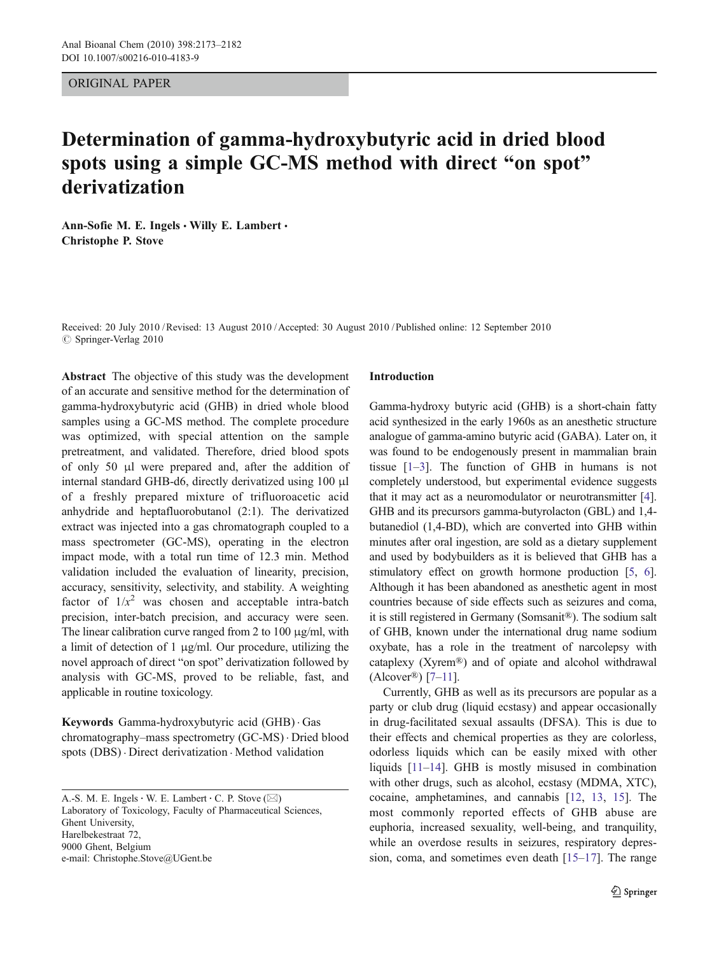ORIGINAL PAPER

# Determination of gamma-hydroxybutyric acid in dried blood spots using a simple GC-MS method with direct "on spot" derivatization

Ann-Sofie M. E. Ingels · Willy E. Lambert · Christophe P. Stove

Received: 20 July 2010 /Revised: 13 August 2010 /Accepted: 30 August 2010 / Published online: 12 September 2010 © Springer-Verlag 2010

Abstract The objective of this study was the development of an accurate and sensitive method for the determination of gamma-hydroxybutyric acid (GHB) in dried whole blood samples using a GC-MS method. The complete procedure was optimized, with special attention on the sample pretreatment, and validated. Therefore, dried blood spots of only 50 μl were prepared and, after the addition of internal standard GHB-d6, directly derivatized using 100 μl of a freshly prepared mixture of trifluoroacetic acid anhydride and heptafluorobutanol (2:1). The derivatized extract was injected into a gas chromatograph coupled to a mass spectrometer (GC-MS), operating in the electron impact mode, with a total run time of 12.3 min. Method validation included the evaluation of linearity, precision, accuracy, sensitivity, selectivity, and stability. A weighting factor of  $1/x^2$  was chosen and acceptable intra-batch precision, inter-batch precision, and accuracy were seen. The linear calibration curve ranged from 2 to 100 μg/ml, with a limit of detection of 1 μg/ml. Our procedure, utilizing the novel approach of direct "on spot" derivatization followed by analysis with GC-MS, proved to be reliable, fast, and applicable in routine toxicology.

Keywords Gamma-hydroxybutyric acid (GHB) . Gas chromatography–mass spectrometry (GC-MS) . Dried blood spots (DBS) . Direct derivatization . Method validation

A.-S. M. E. Ingels  $\cdot$  W. E. Lambert  $\cdot$  C. P. Stove ( $\boxtimes$ ) Laboratory of Toxicology, Faculty of Pharmaceutical Sciences, Ghent University, Harelbekestraat 72, 9000 Ghent, Belgium e-mail: Christophe.Stove@UGent.be

# Introduction

Gamma-hydroxy butyric acid (GHB) is a short-chain fatty acid synthesized in the early 1960s as an anesthetic structure analogue of gamma-amino butyric acid (GABA). Later on, it was found to be endogenously present in mammalian brain tissue [[1](#page-7-0)–[3](#page-7-0)]. The function of GHB in humans is not completely understood, but experimental evidence suggests that it may act as a neuromodulator or neurotransmitter [[4\]](#page-7-0). GHB and its precursors gamma-butyrolacton (GBL) and 1,4 butanediol (1,4-BD), which are converted into GHB within minutes after oral ingestion, are sold as a dietary supplement and used by bodybuilders as it is believed that GHB has a stimulatory effect on growth hormone production [\[5,](#page-7-0) [6\]](#page-7-0). Although it has been abandoned as anesthetic agent in most countries because of side effects such as seizures and coma, it is still registered in Germany (Somsanit®). The sodium salt of GHB, known under the international drug name sodium oxybate, has a role in the treatment of narcolepsy with cataplexy (Xyrem®) and of opiate and alcohol withdrawal  $(Aleover®)$  [\[7](#page-8-0)–[11](#page-8-0)].

Currently, GHB as well as its precursors are popular as a party or club drug (liquid ecstasy) and appear occasionally in drug-facilitated sexual assaults (DFSA). This is due to their effects and chemical properties as they are colorless, odorless liquids which can be easily mixed with other liquids [\[11](#page-8-0)–[14\]](#page-8-0). GHB is mostly misused in combination with other drugs, such as alcohol, ecstasy (MDMA, XTC), cocaine, amphetamines, and cannabis [\[12](#page-8-0), [13,](#page-8-0) [15\]](#page-8-0). The most commonly reported effects of GHB abuse are euphoria, increased sexuality, well-being, and tranquility, while an overdose results in seizures, respiratory depression, coma, and sometimes even death [\[15](#page-8-0)–[17](#page-8-0)]. The range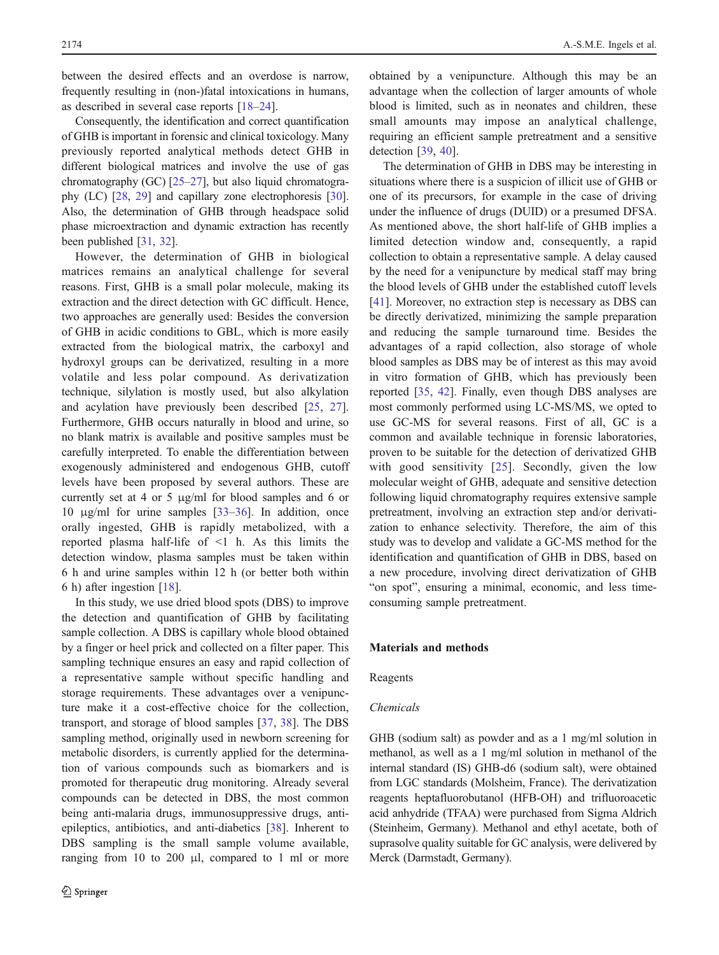<span id="page-1-0"></span>between the desired effects and an overdose is narrow, frequently resulting in (non-)fatal intoxications in humans, as described in several case reports [[18](#page-8-0)–[24\]](#page-8-0).

Consequently, the identification and correct quantification of GHB is important in forensic and clinical toxicology. Many previously reported analytical methods detect GHB in different biological matrices and involve the use of gas chromatography (GC) [\[25](#page-8-0)–[27\]](#page-8-0), but also liquid chromatography (LC) [\[28,](#page-8-0) [29](#page-8-0)] and capillary zone electrophoresis [[30\]](#page-8-0). Also, the determination of GHB through headspace solid phase microextraction and dynamic extraction has recently been published [[31](#page-8-0), [32\]](#page-8-0).

However, the determination of GHB in biological matrices remains an analytical challenge for several reasons. First, GHB is a small polar molecule, making its extraction and the direct detection with GC difficult. Hence, two approaches are generally used: Besides the conversion of GHB in acidic conditions to GBL, which is more easily extracted from the biological matrix, the carboxyl and hydroxyl groups can be derivatized, resulting in a more volatile and less polar compound. As derivatization technique, silylation is mostly used, but also alkylation and acylation have previously been described [\[25](#page-8-0), [27](#page-8-0)]. Furthermore, GHB occurs naturally in blood and urine, so no blank matrix is available and positive samples must be carefully interpreted. To enable the differentiation between exogenously administered and endogenous GHB, cutoff levels have been proposed by several authors. These are currently set at 4 or 5 μg/ml for blood samples and 6 or 10 μg/ml for urine samples [[33](#page-8-0)–[36\]](#page-8-0). In addition, once orally ingested, GHB is rapidly metabolized, with a reported plasma half-life of <1 h. As this limits the detection window, plasma samples must be taken within 6 h and urine samples within 12 h (or better both within 6 h) after ingestion [[18\]](#page-8-0).

In this study, we use dried blood spots (DBS) to improve the detection and quantification of GHB by facilitating sample collection. A DBS is capillary whole blood obtained by a finger or heel prick and collected on a filter paper. This sampling technique ensures an easy and rapid collection of a representative sample without specific handling and storage requirements. These advantages over a venipuncture make it a cost-effective choice for the collection, transport, and storage of blood samples [[37,](#page-8-0) [38](#page-8-0)]. The DBS sampling method, originally used in newborn screening for metabolic disorders, is currently applied for the determination of various compounds such as biomarkers and is promoted for therapeutic drug monitoring. Already several compounds can be detected in DBS, the most common being anti-malaria drugs, immunosuppressive drugs, antiepileptics, antibiotics, and anti-diabetics [[38\]](#page-8-0). Inherent to DBS sampling is the small sample volume available, ranging from 10 to 200  $\mu$ l, compared to 1 ml or more

obtained by a venipuncture. Although this may be an advantage when the collection of larger amounts of whole blood is limited, such as in neonates and children, these small amounts may impose an analytical challenge, requiring an efficient sample pretreatment and a sensitive detection [[39,](#page-8-0) [40\]](#page-8-0).

The determination of GHB in DBS may be interesting in situations where there is a suspicion of illicit use of GHB or one of its precursors, for example in the case of driving under the influence of drugs (DUID) or a presumed DFSA. As mentioned above, the short half-life of GHB implies a limited detection window and, consequently, a rapid collection to obtain a representative sample. A delay caused by the need for a venipuncture by medical staff may bring the blood levels of GHB under the established cutoff levels [\[41](#page-8-0)]. Moreover, no extraction step is necessary as DBS can be directly derivatized, minimizing the sample preparation and reducing the sample turnaround time. Besides the advantages of a rapid collection, also storage of whole blood samples as DBS may be of interest as this may avoid in vitro formation of GHB, which has previously been reported [\[35](#page-8-0), [42\]](#page-8-0). Finally, even though DBS analyses are most commonly performed using LC-MS/MS, we opted to use GC-MS for several reasons. First of all, GC is a common and available technique in forensic laboratories, proven to be suitable for the detection of derivatized GHB with good sensitivity [[25\]](#page-8-0). Secondly, given the low molecular weight of GHB, adequate and sensitive detection following liquid chromatography requires extensive sample pretreatment, involving an extraction step and/or derivatization to enhance selectivity. Therefore, the aim of this study was to develop and validate a GC-MS method for the identification and quantification of GHB in DBS, based on a new procedure, involving direct derivatization of GHB "on spot", ensuring a minimal, economic, and less timeconsuming sample pretreatment.

## Materials and methods

## Reagents

## Chemicals

GHB (sodium salt) as powder and as a 1 mg/ml solution in methanol, as well as a 1 mg/ml solution in methanol of the internal standard (IS) GHB-d6 (sodium salt), were obtained from LGC standards (Molsheim, France). The derivatization reagents heptafluorobutanol (HFB-OH) and trifluoroacetic acid anhydride (TFAA) were purchased from Sigma Aldrich (Steinheim, Germany). Methanol and ethyl acetate, both of suprasolve quality suitable for GC analysis, were delivered by Merck (Darmstadt, Germany).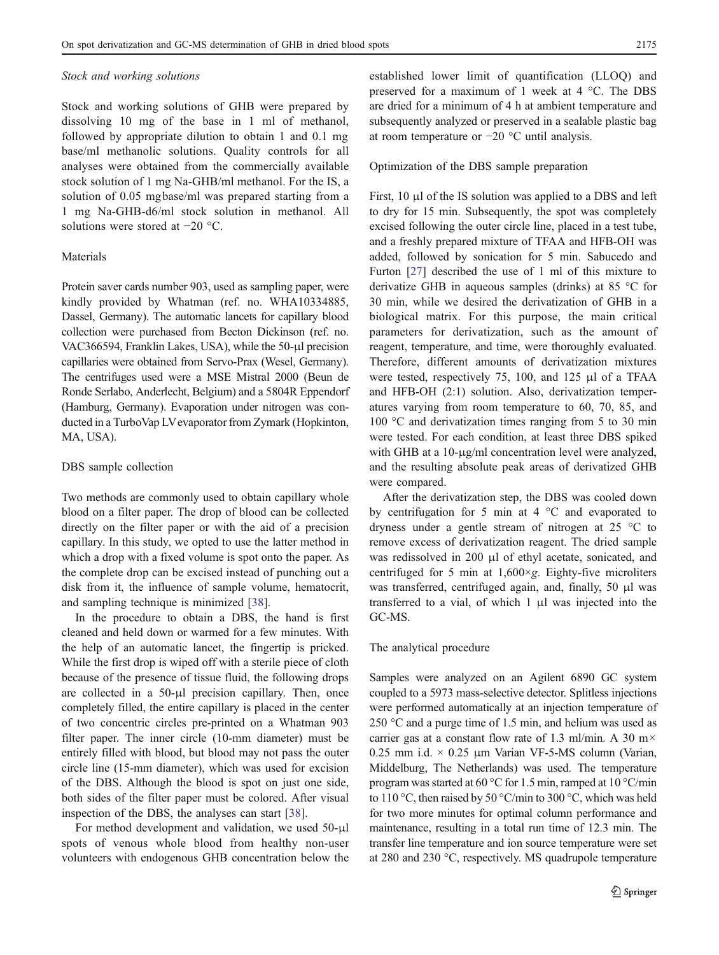#### <span id="page-2-0"></span>Stock and working solutions

Stock and working solutions of GHB were prepared by dissolving 10 mg of the base in 1 ml of methanol, followed by appropriate dilution to obtain 1 and 0.1 mg base/ml methanolic solutions. Quality controls for all analyses were obtained from the commercially available stock solution of 1 mg Na-GHB/ml methanol. For the IS, a solution of 0.05 mgbase/ml was prepared starting from a 1 mg Na-GHB-d6/ml stock solution in methanol. All solutions were stored at −20 °C.

# Materials

Protein saver cards number 903, used as sampling paper, were kindly provided by Whatman (ref. no. WHA10334885, Dassel, Germany). The automatic lancets for capillary blood collection were purchased from Becton Dickinson (ref. no. VAC366594, Franklin Lakes, USA), while the 50-μl precision capillaries were obtained from Servo-Prax (Wesel, Germany). The centrifuges used were a MSE Mistral 2000 (Beun de Ronde Serlabo, Anderlecht, Belgium) and a 5804R Eppendorf (Hamburg, Germany). Evaporation under nitrogen was conducted in a TurboVap LVevaporator from Zymark (Hopkinton, MA, USA).

# DBS sample collection

Two methods are commonly used to obtain capillary whole blood on a filter paper. The drop of blood can be collected directly on the filter paper or with the aid of a precision capillary. In this study, we opted to use the latter method in which a drop with a fixed volume is spot onto the paper. As the complete drop can be excised instead of punching out a disk from it, the influence of sample volume, hematocrit, and sampling technique is minimized [[38\]](#page-8-0).

In the procedure to obtain a DBS, the hand is first cleaned and held down or warmed for a few minutes. With the help of an automatic lancet, the fingertip is pricked. While the first drop is wiped off with a sterile piece of cloth because of the presence of tissue fluid, the following drops are collected in a 50-μl precision capillary. Then, once completely filled, the entire capillary is placed in the center of two concentric circles pre-printed on a Whatman 903 filter paper. The inner circle (10-mm diameter) must be entirely filled with blood, but blood may not pass the outer circle line (15-mm diameter), which was used for excision of the DBS. Although the blood is spot on just one side, both sides of the filter paper must be colored. After visual inspection of the DBS, the analyses can start [\[38](#page-8-0)].

For method development and validation, we used 50-μl spots of venous whole blood from healthy non-user volunteers with endogenous GHB concentration below the established lower limit of quantification (LLOQ) and preserved for a maximum of 1 week at 4 °C. The DBS are dried for a minimum of 4 h at ambient temperature and subsequently analyzed or preserved in a sealable plastic bag at room temperature or −20 °C until analysis.

## Optimization of the DBS sample preparation

First, 10 μl of the IS solution was applied to a DBS and left to dry for 15 min. Subsequently, the spot was completely excised following the outer circle line, placed in a test tube, and a freshly prepared mixture of TFAA and HFB-OH was added, followed by sonication for 5 min. Sabucedo and Furton [\[27](#page-8-0)] described the use of 1 ml of this mixture to derivatize GHB in aqueous samples (drinks) at 85 °C for 30 min, while we desired the derivatization of GHB in a biological matrix. For this purpose, the main critical parameters for derivatization, such as the amount of reagent, temperature, and time, were thoroughly evaluated. Therefore, different amounts of derivatization mixtures were tested, respectively 75, 100, and 125 μl of a TFAA and HFB-OH (2:1) solution. Also, derivatization temperatures varying from room temperature to 60, 70, 85, and 100 °C and derivatization times ranging from 5 to 30 min were tested. For each condition, at least three DBS spiked with GHB at a 10-μg/ml concentration level were analyzed, and the resulting absolute peak areas of derivatized GHB were compared.

After the derivatization step, the DBS was cooled down by centrifugation for 5 min at 4 °C and evaporated to dryness under a gentle stream of nitrogen at 25 °C to remove excess of derivatization reagent. The dried sample was redissolved in 200 μl of ethyl acetate, sonicated, and centrifuged for 5 min at  $1,600 \times g$ . Eighty-five microliters was transferred, centrifuged again, and, finally, 50 μl was transferred to a vial, of which 1 μl was injected into the GC-MS.

#### The analytical procedure

Samples were analyzed on an Agilent 6890 GC system coupled to a 5973 mass-selective detector. Splitless injections were performed automatically at an injection temperature of 250 °C and a purge time of 1.5 min, and helium was used as carrier gas at a constant flow rate of 1.3 ml/min. A 30 m $\times$ 0.25 mm i.d.  $\times$  0.25 µm Varian VF-5-MS column (Varian, Middelburg, The Netherlands) was used. The temperature program was started at 60 °C for 1.5 min, ramped at 10 °C/min to 110 °C, then raised by 50 °C/min to 300 °C, which was held for two more minutes for optimal column performance and maintenance, resulting in a total run time of 12.3 min. The transfer line temperature and ion source temperature were set at 280 and 230 °C, respectively. MS quadrupole temperature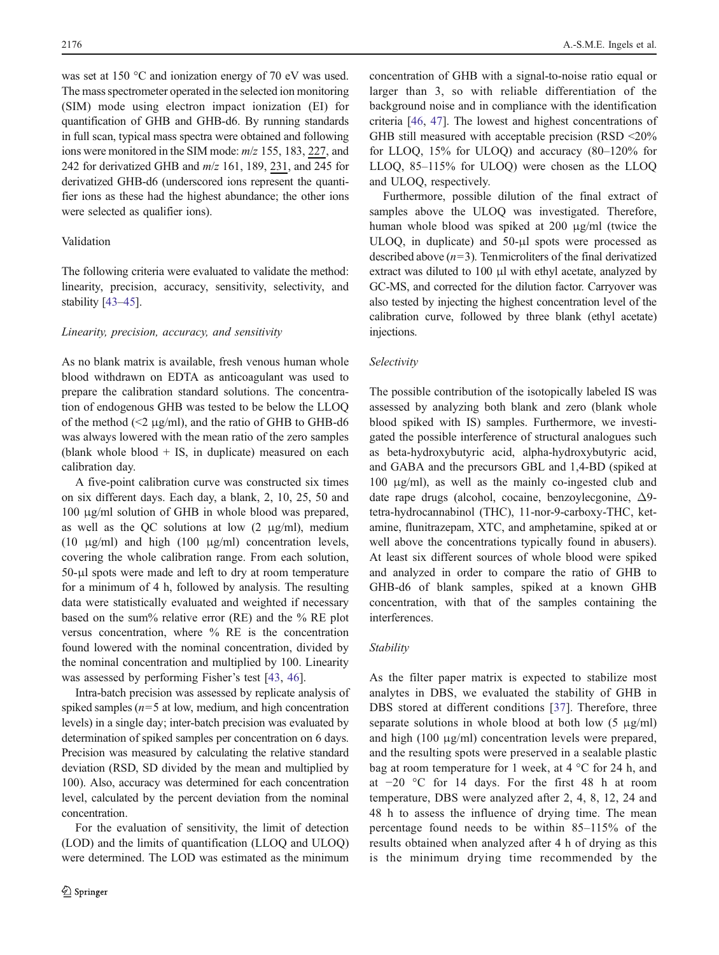was set at 150 °C and ionization energy of 70 eV was used. The mass spectrometer operated in the selected ion monitoring (SIM) mode using electron impact ionization (EI) for quantification of GHB and GHB-d6. By running standards in full scan, typical mass spectra were obtained and following ions were monitored in the SIM mode:  $m/z$  155, 183, 227, and 242 for derivatized GHB and  $m/z$  161, 189, 231, and 245 for derivatized GHB-d6 (underscored ions represent the quantifier ions as these had the highest abundance; the other ions were selected as qualifier ions).

# Validation

The following criteria were evaluated to validate the method: linearity, precision, accuracy, sensitivity, selectivity, and stability [[43](#page-8-0)–[45](#page-9-0)].

## Linearity, precision, accuracy, and sensitivity

As no blank matrix is available, fresh venous human whole blood withdrawn on EDTA as anticoagulant was used to prepare the calibration standard solutions. The concentration of endogenous GHB was tested to be below the LLOQ of the method ( $\leq$ 2 μg/ml), and the ratio of GHB to GHB-d6 was always lowered with the mean ratio of the zero samples (blank whole blood  $+$  IS, in duplicate) measured on each calibration day.

A five-point calibration curve was constructed six times on six different days. Each day, a blank, 2, 10, 25, 50 and 100 μg/ml solution of GHB in whole blood was prepared, as well as the QC solutions at low  $(2 \mu g/ml)$ , medium (10  $\mu$ g/ml) and high (100  $\mu$ g/ml) concentration levels, covering the whole calibration range. From each solution, 50-μl spots were made and left to dry at room temperature for a minimum of 4 h, followed by analysis. The resulting data were statistically evaluated and weighted if necessary based on the sum% relative error (RE) and the % RE plot versus concentration, where % RE is the concentration found lowered with the nominal concentration, divided by the nominal concentration and multiplied by 100. Linearity was assessed by performing Fisher's test [\[43](#page-8-0), [46](#page-9-0)].

Intra-batch precision was assessed by replicate analysis of spiked samples ( $n=5$  at low, medium, and high concentration levels) in a single day; inter-batch precision was evaluated by determination of spiked samples per concentration on 6 days. Precision was measured by calculating the relative standard deviation (RSD, SD divided by the mean and multiplied by 100). Also, accuracy was determined for each concentration level, calculated by the percent deviation from the nominal concentration.

For the evaluation of sensitivity, the limit of detection (LOD) and the limits of quantification (LLOQ and ULOQ) were determined. The LOD was estimated as the minimum concentration of GHB with a signal-to-noise ratio equal or larger than 3, so with reliable differentiation of the background noise and in compliance with the identification criteria [[46,](#page-9-0) [47\]](#page-9-0). The lowest and highest concentrations of GHB still measured with acceptable precision (RSD <20% for LLOQ, 15% for ULOQ) and accuracy (80–120% for LLOQ, 85–115% for ULOQ) were chosen as the LLOQ and ULOQ, respectively.

Furthermore, possible dilution of the final extract of samples above the ULOQ was investigated. Therefore, human whole blood was spiked at 200 μg/ml (twice the ULOQ, in duplicate) and 50-μl spots were processed as described above  $(n=3)$ . Tenmicroliters of the final derivatized extract was diluted to 100 μl with ethyl acetate, analyzed by GC-MS, and corrected for the dilution factor. Carryover was also tested by injecting the highest concentration level of the calibration curve, followed by three blank (ethyl acetate) injections.

#### Selectivity

The possible contribution of the isotopically labeled IS was assessed by analyzing both blank and zero (blank whole blood spiked with IS) samples. Furthermore, we investigated the possible interference of structural analogues such as beta-hydroxybutyric acid, alpha-hydroxybutyric acid, and GABA and the precursors GBL and 1,4-BD (spiked at 100 μg/ml), as well as the mainly co-ingested club and date rape drugs (alcohol, cocaine, benzoylecgonine, Δ9 tetra-hydrocannabinol (THC), 11-nor-9-carboxy-THC, ketamine, flunitrazepam, XTC, and amphetamine, spiked at or well above the concentrations typically found in abusers). At least six different sources of whole blood were spiked and analyzed in order to compare the ratio of GHB to GHB-d6 of blank samples, spiked at a known GHB concentration, with that of the samples containing the interferences.

#### Stability

As the filter paper matrix is expected to stabilize most analytes in DBS, we evaluated the stability of GHB in DBS stored at different conditions [[37](#page-8-0)]. Therefore, three separate solutions in whole blood at both low  $(5 \text{ µg/ml})$ and high (100 μg/ml) concentration levels were prepared, and the resulting spots were preserved in a sealable plastic bag at room temperature for 1 week, at 4 °C for 24 h, and at −20 °C for 14 days. For the first 48 h at room temperature, DBS were analyzed after 2, 4, 8, 12, 24 and 48 h to assess the influence of drying time. The mean percentage found needs to be within 85–115% of the results obtained when analyzed after 4 h of drying as this is the minimum drying time recommended by the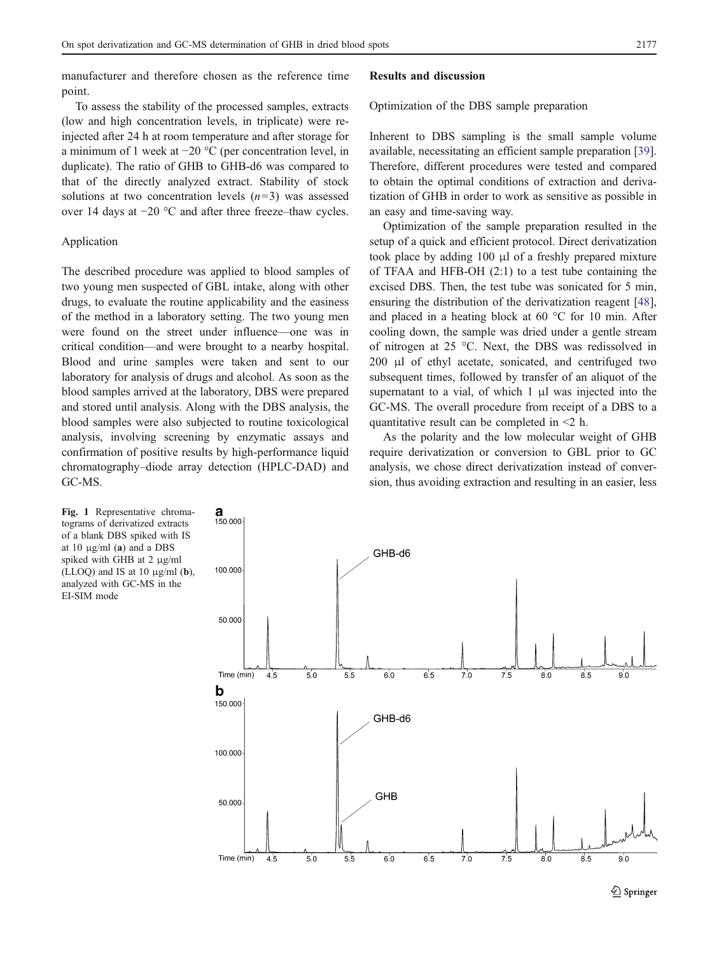<span id="page-4-0"></span>manufacturer and therefore chosen as the reference time point.

#### Results and discussion

Optimization of the DBS sample preparation

To assess the stability of the processed samples, extracts (low and high concentration levels, in triplicate) were reinjected after 24 h at room temperature and after storage for a minimum of 1 week at −20 °C (per concentration level, in duplicate). The ratio of GHB to GHB-d6 was compared to that of the directly analyzed extract. Stability of stock solutions at two concentration levels  $(n=3)$  was assessed over 14 days at −20 °C and after three freeze–thaw cycles.

## Application

The described procedure was applied to blood samples of two young men suspected of GBL intake, along with other drugs, to evaluate the routine applicability and the easiness of the method in a laboratory setting. The two young men were found on the street under influence—one was in critical condition—and were brought to a nearby hospital. Blood and urine samples were taken and sent to our laboratory for analysis of drugs and alcohol. As soon as the blood samples arrived at the laboratory, DBS were prepared and stored until analysis. Along with the DBS analysis, the blood samples were also subjected to routine toxicological analysis, involving screening by enzymatic assays and confirmation of positive results by high-performance liquid chromatography–diode array detection (HPLC-DAD) and GC-MS.

Inherent to DBS sampling is the small sample volume available, necessitating an efficient sample preparation [[39\]](#page-8-0). Therefore, different procedures were tested and compared to obtain the optimal conditions of extraction and derivatization of GHB in order to work as sensitive as possible in an easy and time-saving way.

Optimization of the sample preparation resulted in the setup of a quick and efficient protocol. Direct derivatization took place by adding 100 μl of a freshly prepared mixture of TFAA and HFB-OH (2:1) to a test tube containing the excised DBS. Then, the test tube was sonicated for 5 min, ensuring the distribution of the derivatization reagent [[48\]](#page-9-0), and placed in a heating block at 60 °C for 10 min. After cooling down, the sample was dried under a gentle stream of nitrogen at 25 °C. Next, the DBS was redissolved in 200 μl of ethyl acetate, sonicated, and centrifuged two subsequent times, followed by transfer of an aliquot of the supernatant to a vial, of which 1 μl was injected into the GC-MS. The overall procedure from receipt of a DBS to a quantitative result can be completed in <2 h.

As the polarity and the low molecular weight of GHB require derivatization or conversion to GBL prior to GC analysis, we chose direct derivatization instead of conversion, thus avoiding extraction and resulting in an easier, less

Fig. 1 Representative chromatograms of derivatized extracts of a blank DBS spiked with IS at 10  $\mu$ g/ml (a) and a DBS spiked with GHB at 2 μg/ml (LLOQ) and IS at 10  $\mu$ g/ml (**b**), analyzed with GC-MS in the EI-SIM mode

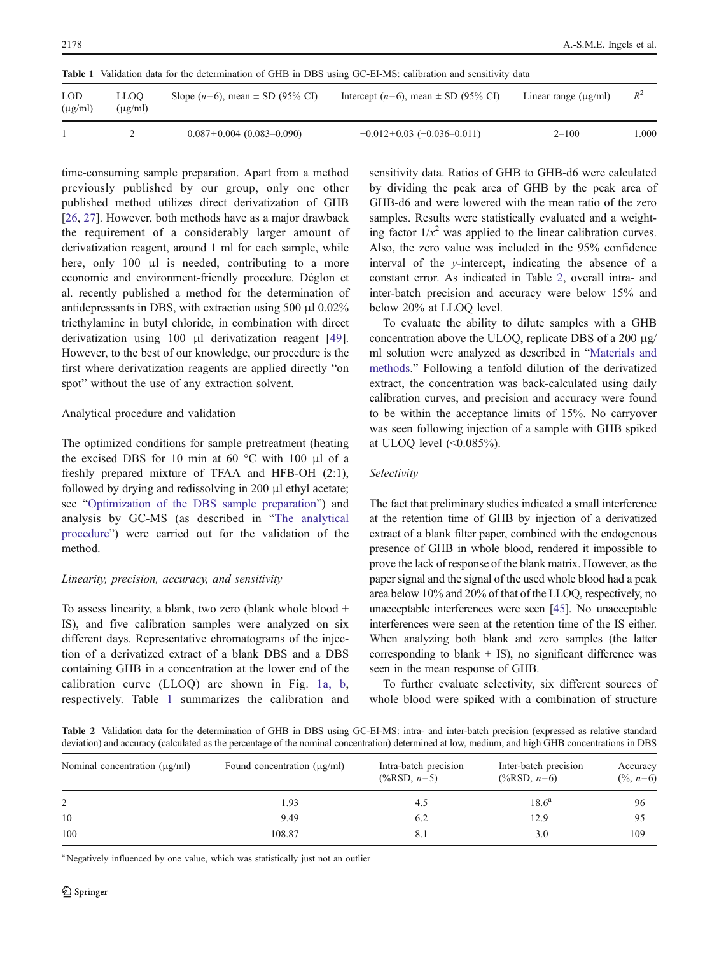| Table 1                    | Validation data for the determination of GHB in DBS using GC-EI-MS: calibration and sensitivity data |                                        |                                             |                           |       |  |  |  |
|----------------------------|------------------------------------------------------------------------------------------------------|----------------------------------------|---------------------------------------------|---------------------------|-------|--|--|--|
| <b>LOD</b><br>$(\mu g/ml)$ | LLOO<br>$(\mu$ g/ml)                                                                                 | Slope $(n=6)$ , mean $\pm$ SD (95% CI) | Intercept ( $n=6$ ), mean $\pm$ SD (95% CI) | Linear range $(\mu g/ml)$ | $R^2$ |  |  |  |
|                            |                                                                                                      | $0.087 \pm 0.004$ (0.083-0.090)        | $-0.012 \pm 0.03$ (-0.036-0.011)            | $2 - 100$                 | 1.000 |  |  |  |

Table 1 Validation data for the determination of GHB in DBS using GC-EI-MS: calibration and sensitivity data

time-consuming sample preparation. Apart from a method previously published by our group, only one other published method utilizes direct derivatization of GHB [\[26](#page-8-0), [27](#page-8-0)]. However, both methods have as a major drawback the requirement of a considerably larger amount of derivatization reagent, around 1 ml for each sample, while here, only 100 μl is needed, contributing to a more economic and environment-friendly procedure. Déglon et al. recently published a method for the determination of antidepressants in DBS, with extraction using 500 μl 0.02% triethylamine in butyl chloride, in combination with direct derivatization using 100 μl derivatization reagent [\[49](#page-9-0)]. However, to the best of our knowledge, our procedure is the first where derivatization reagents are applied directly "on spot" without the use of any extraction solvent.

## Analytical procedure and validation

The optimized conditions for sample pretreatment (heating the excised DBS for 10 min at 60  $\degree$ C with 100 μl of a freshly prepared mixture of TFAA and HFB-OH (2:1), followed by drying and redissolving in 200 μl ethyl acetate; see "[Optimization of the DBS sample preparation](#page-2-0)") and analysis by GC-MS (as described in "[The analytical](#page-2-0) [procedure](#page-2-0)") were carried out for the validation of the method.

# Linearity, precision, accuracy, and sensitivity

To assess linearity, a blank, two zero (blank whole blood + IS), and five calibration samples were analyzed on six different days. Representative chromatograms of the injection of a derivatized extract of a blank DBS and a DBS containing GHB in a concentration at the lower end of the calibration curve (LLOQ) are shown in Fig. [1a, b,](#page-4-0) respectively. Table 1 summarizes the calibration and sensitivity data. Ratios of GHB to GHB-d6 were calculated by dividing the peak area of GHB by the peak area of GHB-d6 and were lowered with the mean ratio of the zero samples. Results were statistically evaluated and a weighting factor  $1/x^2$  was applied to the linear calibration curves. Also, the zero value was included in the 95% confidence interval of the y-intercept, indicating the absence of a constant error. As indicated in Table 2, overall intra- and inter-batch precision and accuracy were below 15% and below 20% at LLOQ level.

To evaluate the ability to dilute samples with a GHB concentration above the ULOQ, replicate DBS of a 200 μg/ ml solution were analyzed as described in "[Materials and](#page-1-0) [methods.](#page-1-0)" Following a tenfold dilution of the derivatized extract, the concentration was back-calculated using daily calibration curves, and precision and accuracy were found to be within the acceptance limits of 15%. No carryover was seen following injection of a sample with GHB spiked at ULOQ level (<0.085%).

# Selectivity

The fact that preliminary studies indicated a small interference at the retention time of GHB by injection of a derivatized extract of a blank filter paper, combined with the endogenous presence of GHB in whole blood, rendered it impossible to prove the lack of response of the blank matrix. However, as the paper signal and the signal of the used whole blood had a peak area below 10% and 20% of that of the LLOQ, respectively, no unacceptable interferences were seen [[45](#page-9-0)]. No unacceptable interferences were seen at the retention time of the IS either. When analyzing both blank and zero samples (the latter corresponding to blank  $+$  IS), no significant difference was seen in the mean response of GHB.

To further evaluate selectivity, six different sources of whole blood were spiked with a combination of structure

Table 2 Validation data for the determination of GHB in DBS using GC-EI-MS: intra- and inter-batch precision (expressed as relative standard deviation) and accuracy (calculated as the percentage of the nominal concentration) determined at low, medium, and high GHB concentrations in DBS

| Nominal concentration $(\mu g/ml)$ | Found concentration $(\mu g/ml)$ | Intra-batch precision<br>$(\frac{9}{6}RSD, n=5)$ | Inter-batch precision<br>$(\frac{9}{6}RSD, n=6)$ | Accuracy<br>$(\frac{9}{6}, n=6)$ |
|------------------------------------|----------------------------------|--------------------------------------------------|--------------------------------------------------|----------------------------------|
| 2                                  | 1.93                             | 4.5                                              | $18.6^{\rm a}$                                   | 96                               |
| 10                                 | 9.49                             | 6.2                                              | 12.9                                             | 95                               |
| 100                                | 108.87                           | 8.1                                              | 3.0                                              | 109                              |

<sup>a</sup> Negatively influenced by one value, which was statistically just not an outlier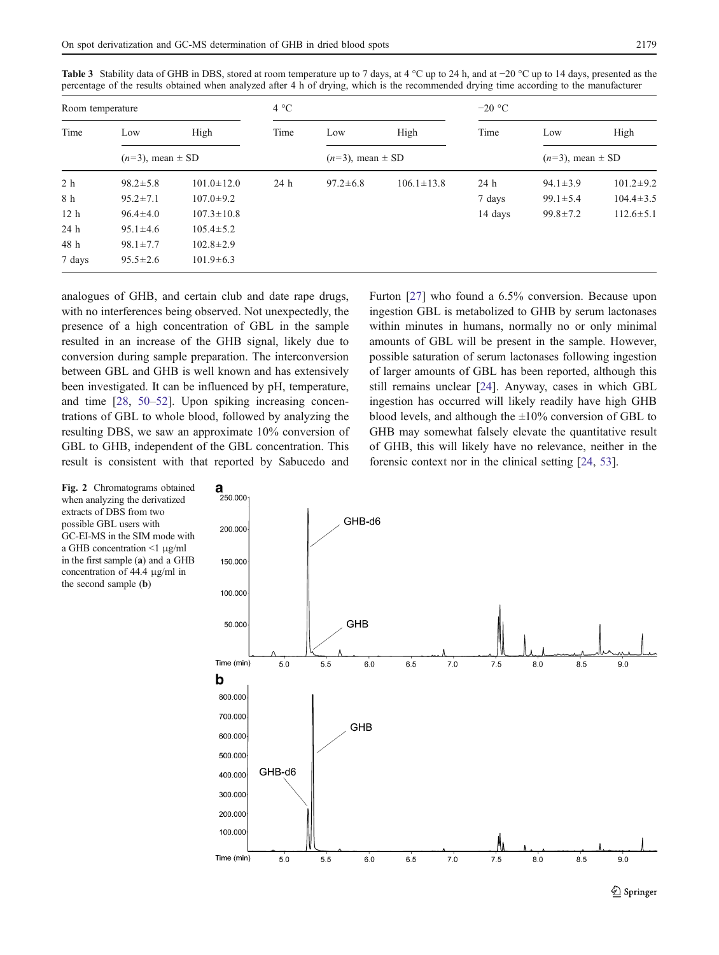| Room temperature |                         |                  | $4^{\circ}C$ |                         |                  | $-20$ °C |                         |                 |  |
|------------------|-------------------------|------------------|--------------|-------------------------|------------------|----------|-------------------------|-----------------|--|
| Time             | Low                     | High             | Time         | Low                     | High             | Time     | Low                     | High            |  |
|                  | $(n=3)$ , mean $\pm$ SD |                  |              | $(n=3)$ , mean $\pm$ SD |                  |          | $(n=3)$ , mean $\pm$ SD |                 |  |
| 2 h              | $98.2 \pm 5.8$          | $101.0 \pm 12.0$ | 24 h         | $97.2 \pm 6.8$          | $106.1 \pm 13.8$ | 24 h     | $94.1 \pm 3.9$          | $101.2 \pm 9.2$ |  |
| 8 h              | $95.2 \pm 7.1$          | $107.0 \pm 9.2$  |              |                         |                  | 7 days   | $99.1 \pm 5.4$          | $104.4 \pm 3.5$ |  |
| 12 <sub>h</sub>  | $96.4 \pm 4.0$          | $107.3 \pm 10.8$ |              |                         |                  | 14 days  | $99.8 \pm 7.2$          | $112.6 \pm 5.1$ |  |
| 24 h             | $95.1 \pm 4.6$          | $105.4 \pm 5.2$  |              |                         |                  |          |                         |                 |  |
| 48 h             | $98.1 \pm 7.7$          | $102.8 \pm 2.9$  |              |                         |                  |          |                         |                 |  |
| 7 days           | $95.5 \pm 2.6$          | $101.9 \pm 6.3$  |              |                         |                  |          |                         |                 |  |

<span id="page-6-0"></span>Table 3 Stability data of GHB in DBS, stored at room temperature up to 7 days, at 4 °C up to 24 h, and at −20 °C up to 14 days, presented as the percentage of the results obtained when analyzed after 4 h of drying, which is the recommended drying time according to the manufacturer

analogues of GHB, and certain club and date rape drugs, with no interferences being observed. Not unexpectedly, the presence of a high concentration of GBL in the sample resulted in an increase of the GHB signal, likely due to conversion during sample preparation. The interconversion between GBL and GHB is well known and has extensively been investigated. It can be influenced by pH, temperature, and time [[28,](#page-8-0) [50](#page-9-0)–[52](#page-9-0)]. Upon spiking increasing concentrations of GBL to whole blood, followed by analyzing the resulting DBS, we saw an approximate 10% conversion of GBL to GHB, independent of the GBL concentration. This result is consistent with that reported by Sabucedo and Furton [[27\]](#page-8-0) who found a 6.5% conversion. Because upon ingestion GBL is metabolized to GHB by serum lactonases within minutes in humans, normally no or only minimal amounts of GBL will be present in the sample. However, possible saturation of serum lactonases following ingestion of larger amounts of GBL has been reported, although this still remains unclear [[24\]](#page-8-0). Anyway, cases in which GBL ingestion has occurred will likely readily have high GHB blood levels, and although the  $\pm 10\%$  conversion of GBL to GHB may somewhat falsely elevate the quantitative result of GHB, this will likely have no relevance, neither in the forensic context nor in the clinical setting [\[24](#page-8-0), [53](#page-9-0)].

Fig. 2 Chromatograms obtained when analyzing the derivatized extracts of DBS from two possible GBL users with GC-EI-MS in the SIM mode with a GHB concentration <1 μg/ml in the first sample (a) and a GHB concentration of 44.4 μg/ml in the second sample (b)



 $\mathcal{D}$  Springer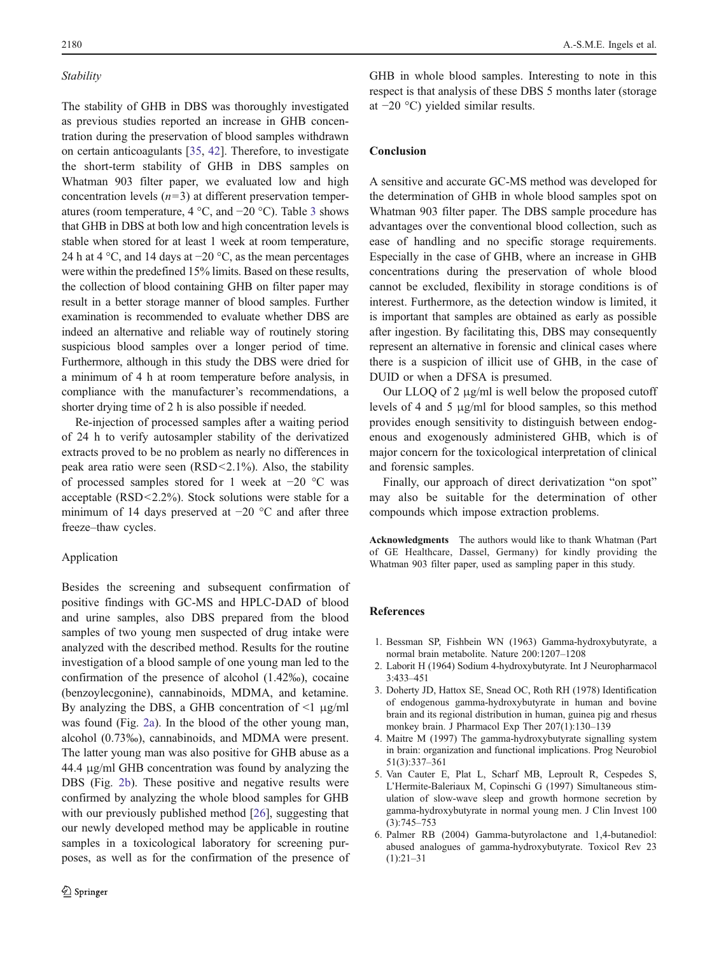## <span id="page-7-0"></span>Stability

The stability of GHB in DBS was thoroughly investigated as previous studies reported an increase in GHB concentration during the preservation of blood samples withdrawn on certain anticoagulants [\[35](#page-8-0), [42\]](#page-8-0). Therefore, to investigate the short-term stability of GHB in DBS samples on Whatman 903 filter paper, we evaluated low and high concentration levels  $(n=3)$  at different preservation temperatures (room temperature, 4 °C, and −20 °C). Table [3](#page-6-0) shows that GHB in DBS at both low and high concentration levels is stable when stored for at least 1 week at room temperature, 24 h at 4 °C, and 14 days at −20 °C, as the mean percentages were within the predefined 15% limits. Based on these results, the collection of blood containing GHB on filter paper may result in a better storage manner of blood samples. Further examination is recommended to evaluate whether DBS are indeed an alternative and reliable way of routinely storing suspicious blood samples over a longer period of time. Furthermore, although in this study the DBS were dried for a minimum of 4 h at room temperature before analysis, in compliance with the manufacturer's recommendations, a shorter drying time of 2 h is also possible if needed.

Re-injection of processed samples after a waiting period of 24 h to verify autosampler stability of the derivatized extracts proved to be no problem as nearly no differences in peak area ratio were seen (RSD<2.1%). Also, the stability of processed samples stored for 1 week at −20 °C was acceptable (RSD<2.2%). Stock solutions were stable for a minimum of 14 days preserved at −20 °C and after three freeze–thaw cycles.

## Application

Besides the screening and subsequent confirmation of positive findings with GC-MS and HPLC-DAD of blood and urine samples, also DBS prepared from the blood samples of two young men suspected of drug intake were analyzed with the described method. Results for the routine investigation of a blood sample of one young man led to the confirmation of the presence of alcohol (1.42‰), cocaine (benzoylecgonine), cannabinoids, MDMA, and ketamine. By analyzing the DBS, a GHB concentration of  $\leq 1$  μg/ml was found (Fig. [2a](#page-6-0)). In the blood of the other young man, alcohol (0.73‰), cannabinoids, and MDMA were present. The latter young man was also positive for GHB abuse as a 44.4 μg/ml GHB concentration was found by analyzing the DBS (Fig. [2b](#page-6-0)). These positive and negative results were confirmed by analyzing the whole blood samples for GHB with our previously published method [\[26](#page-8-0)], suggesting that our newly developed method may be applicable in routine samples in a toxicological laboratory for screening purposes, as well as for the confirmation of the presence of

GHB in whole blood samples. Interesting to note in this respect is that analysis of these DBS 5 months later (storage at −20 °C) yielded similar results.

#### Conclusion

A sensitive and accurate GC-MS method was developed for the determination of GHB in whole blood samples spot on Whatman 903 filter paper. The DBS sample procedure has advantages over the conventional blood collection, such as ease of handling and no specific storage requirements. Especially in the case of GHB, where an increase in GHB concentrations during the preservation of whole blood cannot be excluded, flexibility in storage conditions is of interest. Furthermore, as the detection window is limited, it is important that samples are obtained as early as possible after ingestion. By facilitating this, DBS may consequently represent an alternative in forensic and clinical cases where there is a suspicion of illicit use of GHB, in the case of DUID or when a DFSA is presumed.

Our LLOQ of 2 μg/ml is well below the proposed cutoff levels of 4 and 5 μg/ml for blood samples, so this method provides enough sensitivity to distinguish between endogenous and exogenously administered GHB, which is of major concern for the toxicological interpretation of clinical and forensic samples.

Finally, our approach of direct derivatization "on spot" may also be suitable for the determination of other compounds which impose extraction problems.

Acknowledgments The authors would like to thank Whatman (Part of GE Healthcare, Dassel, Germany) for kindly providing the Whatman 903 filter paper, used as sampling paper in this study.

# References

- 1. Bessman SP, Fishbein WN (1963) Gamma-hydroxybutyrate, a normal brain metabolite. Nature 200:1207–1208
- 2. Laborit H (1964) Sodium 4-hydroxybutyrate. Int J Neuropharmacol 3:433–451
- 3. Doherty JD, Hattox SE, Snead OC, Roth RH (1978) Identification of endogenous gamma-hydroxybutyrate in human and bovine brain and its regional distribution in human, guinea pig and rhesus monkey brain. J Pharmacol Exp Ther 207(1):130–139
- 4. Maitre M (1997) The gamma-hydroxybutyrate signalling system in brain: organization and functional implications. Prog Neurobiol 51(3):337–361
- 5. Van Cauter E, Plat L, Scharf MB, Leproult R, Cespedes S, L'Hermite-Baleriaux M, Copinschi G (1997) Simultaneous stimulation of slow-wave sleep and growth hormone secretion by gamma-hydroxybutyrate in normal young men. J Clin Invest 100 (3):745–753
- 6. Palmer RB (2004) Gamma-butyrolactone and 1,4-butanediol: abused analogues of gamma-hydroxybutyrate. Toxicol Rev 23  $(1):21-31$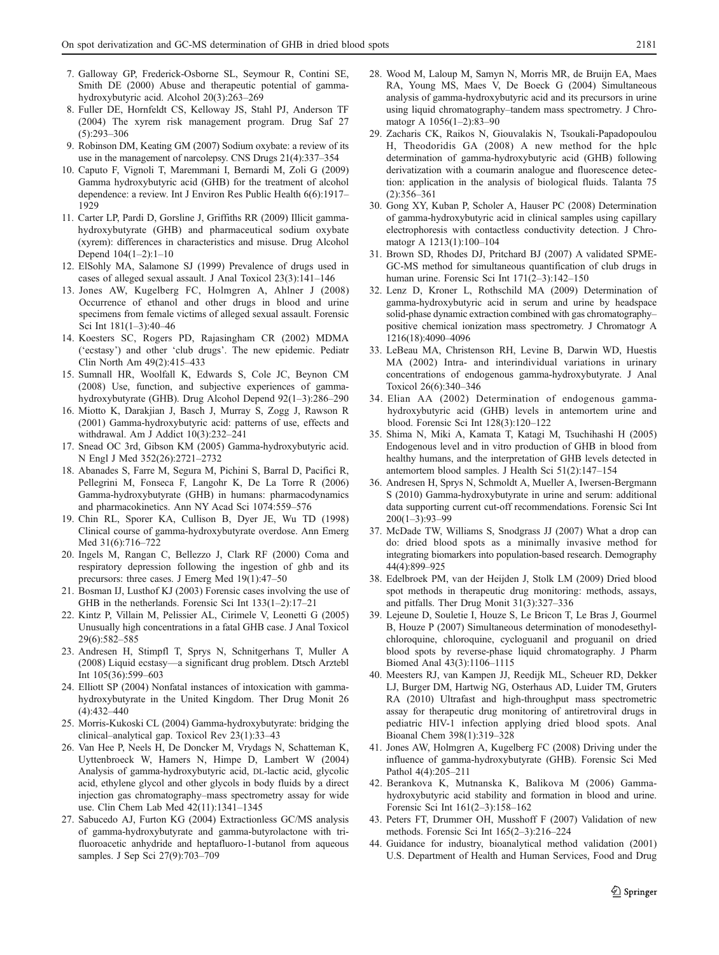- <span id="page-8-0"></span>7. Galloway GP, Frederick-Osborne SL, Seymour R, Contini SE, Smith DE (2000) Abuse and therapeutic potential of gammahydroxybutyric acid. Alcohol 20(3):263–269
- 8. Fuller DE, Hornfeldt CS, Kelloway JS, Stahl PJ, Anderson TF (2004) The xyrem risk management program. Drug Saf 27 (5):293–306
- 9. Robinson DM, Keating GM (2007) Sodium oxybate: a review of its use in the management of narcolepsy. CNS Drugs 21(4):337–354
- 10. Caputo F, Vignoli T, Maremmani I, Bernardi M, Zoli G (2009) Gamma hydroxybutyric acid (GHB) for the treatment of alcohol dependence: a review. Int J Environ Res Public Health 6(6):1917– 1929
- 11. Carter LP, Pardi D, Gorsline J, Griffiths RR (2009) Illicit gammahydroxybutyrate (GHB) and pharmaceutical sodium oxybate (xyrem): differences in characteristics and misuse. Drug Alcohol Depend 104(1–2):1–10
- 12. ElSohly MA, Salamone SJ (1999) Prevalence of drugs used in cases of alleged sexual assault. J Anal Toxicol 23(3):141–146
- 13. Jones AW, Kugelberg FC, Holmgren A, Ahlner J (2008) Occurrence of ethanol and other drugs in blood and urine specimens from female victims of alleged sexual assault. Forensic Sci Int 181(1–3):40–46
- 14. Koesters SC, Rogers PD, Rajasingham CR (2002) MDMA ('ecstasy') and other 'club drugs'. The new epidemic. Pediatr Clin North Am 49(2):415–433
- 15. Sumnall HR, Woolfall K, Edwards S, Cole JC, Beynon CM (2008) Use, function, and subjective experiences of gammahydroxybutyrate (GHB). Drug Alcohol Depend 92(1–3):286–290
- 16. Miotto K, Darakjian J, Basch J, Murray S, Zogg J, Rawson R (2001) Gamma-hydroxybutyric acid: patterns of use, effects and withdrawal. Am J Addict 10(3):232–241
- 17. Snead OC 3rd, Gibson KM (2005) Gamma-hydroxybutyric acid. N Engl J Med 352(26):2721–2732
- 18. Abanades S, Farre M, Segura M, Pichini S, Barral D, Pacifici R, Pellegrini M, Fonseca F, Langohr K, De La Torre R (2006) Gamma-hydroxybutyrate (GHB) in humans: pharmacodynamics and pharmacokinetics. Ann NY Acad Sci 1074:559–576
- 19. Chin RL, Sporer KA, Cullison B, Dyer JE, Wu TD (1998) Clinical course of gamma-hydroxybutyrate overdose. Ann Emerg Med 31(6):716–722
- 20. Ingels M, Rangan C, Bellezzo J, Clark RF (2000) Coma and respiratory depression following the ingestion of ghb and its precursors: three cases. J Emerg Med 19(1):47–50
- 21. Bosman IJ, Lusthof KJ (2003) Forensic cases involving the use of GHB in the netherlands. Forensic Sci Int 133(1–2):17–21
- 22. Kintz P, Villain M, Pelissier AL, Cirimele V, Leonetti G (2005) Unusually high concentrations in a fatal GHB case. J Anal Toxicol 29(6):582–585
- 23. Andresen H, Stimpfl T, Sprys N, Schnitgerhans T, Muller A (2008) Liquid ecstasy—a significant drug problem. Dtsch Arztebl Int 105(36):599–603
- 24. Elliott SP (2004) Nonfatal instances of intoxication with gammahydroxybutyrate in the United Kingdom. Ther Drug Monit 26  $(4):432-440$
- 25. Morris-Kukoski CL (2004) Gamma-hydroxybutyrate: bridging the clinical–analytical gap. Toxicol Rev 23(1):33–43
- 26. Van Hee P, Neels H, De Doncker M, Vrydags N, Schatteman K, Uyttenbroeck W, Hamers N, Himpe D, Lambert W (2004) Analysis of gamma-hydroxybutyric acid, DL-lactic acid, glycolic acid, ethylene glycol and other glycols in body fluids by a direct injection gas chromatography–mass spectrometry assay for wide use. Clin Chem Lab Med 42(11):1341–1345
- 27. Sabucedo AJ, Furton KG (2004) Extractionless GC/MS analysis of gamma-hydroxybutyrate and gamma-butyrolactone with trifluoroacetic anhydride and heptafluoro-1-butanol from aqueous samples. J Sep Sci 27(9):703–709
- 28. Wood M, Laloup M, Samyn N, Morris MR, de Bruijn EA, Maes RA, Young MS, Maes V, De Boeck G (2004) Simultaneous analysis of gamma-hydroxybutyric acid and its precursors in urine using liquid chromatography–tandem mass spectrometry. J Chromatogr A 1056(1–2):83–90
- 29. Zacharis CK, Raikos N, Giouvalakis N, Tsoukali-Papadopoulou H, Theodoridis GA (2008) A new method for the hplc determination of gamma-hydroxybutyric acid (GHB) following derivatization with a coumarin analogue and fluorescence detection: application in the analysis of biological fluids. Talanta 75 (2):356–361
- 30. Gong XY, Kuban P, Scholer A, Hauser PC (2008) Determination of gamma-hydroxybutyric acid in clinical samples using capillary electrophoresis with contactless conductivity detection. J Chromatogr A 1213(1):100–104
- 31. Brown SD, Rhodes DJ, Pritchard BJ (2007) A validated SPME-GC-MS method for simultaneous quantification of club drugs in human urine. Forensic Sci Int 171(2–3):142–150
- 32. Lenz D, Kroner L, Rothschild MA (2009) Determination of gamma-hydroxybutyric acid in serum and urine by headspace solid-phase dynamic extraction combined with gas chromatography– positive chemical ionization mass spectrometry. J Chromatogr A 1216(18):4090–4096
- 33. LeBeau MA, Christenson RH, Levine B, Darwin WD, Huestis MA (2002) Intra- and interindividual variations in urinary concentrations of endogenous gamma-hydroxybutyrate. J Anal Toxicol 26(6):340–346
- 34. Elian AA (2002) Determination of endogenous gammahydroxybutyric acid (GHB) levels in antemortem urine and blood. Forensic Sci Int 128(3):120–122
- 35. Shima N, Miki A, Kamata T, Katagi M, Tsuchihashi H (2005) Endogenous level and in vitro production of GHB in blood from healthy humans, and the interpretation of GHB levels detected in antemortem blood samples. J Health Sci 51(2):147–154
- 36. Andresen H, Sprys N, Schmoldt A, Mueller A, Iwersen-Bergmann S (2010) Gamma-hydroxybutyrate in urine and serum: additional data supporting current cut-off recommendations. Forensic Sci Int 200(1–3):93–99
- 37. McDade TW, Williams S, Snodgrass JJ (2007) What a drop can do: dried blood spots as a minimally invasive method for integrating biomarkers into population-based research. Demography 44(4):899–925
- 38. Edelbroek PM, van der Heijden J, Stolk LM (2009) Dried blood spot methods in therapeutic drug monitoring: methods, assays, and pitfalls. Ther Drug Monit 31(3):327–336
- 39. Lejeune D, Souletie I, Houze S, Le Bricon T, Le Bras J, Gourmel B, Houze P (2007) Simultaneous determination of monodesethylchloroquine, chloroquine, cycloguanil and proguanil on dried blood spots by reverse-phase liquid chromatography. J Pharm Biomed Anal 43(3):1106–1115
- 40. Meesters RJ, van Kampen JJ, Reedijk ML, Scheuer RD, Dekker LJ, Burger DM, Hartwig NG, Osterhaus AD, Luider TM, Gruters RA (2010) Ultrafast and high-throughput mass spectrometric assay for therapeutic drug monitoring of antiretroviral drugs in pediatric HIV-1 infection applying dried blood spots. Anal Bioanal Chem 398(1):319–328
- 41. Jones AW, Holmgren A, Kugelberg FC (2008) Driving under the influence of gamma-hydroxybutyrate (GHB). Forensic Sci Med Pathol 4(4):205–211
- 42. Berankova K, Mutnanska K, Balikova M (2006) Gammahydroxybutyric acid stability and formation in blood and urine. Forensic Sci Int 161(2–3):158–162
- 43. Peters FT, Drummer OH, Musshoff F (2007) Validation of new methods. Forensic Sci Int 165(2–3):216–224
- 44. Guidance for industry, bioanalytical method validation (2001) U.S. Department of Health and Human Services, Food and Drug